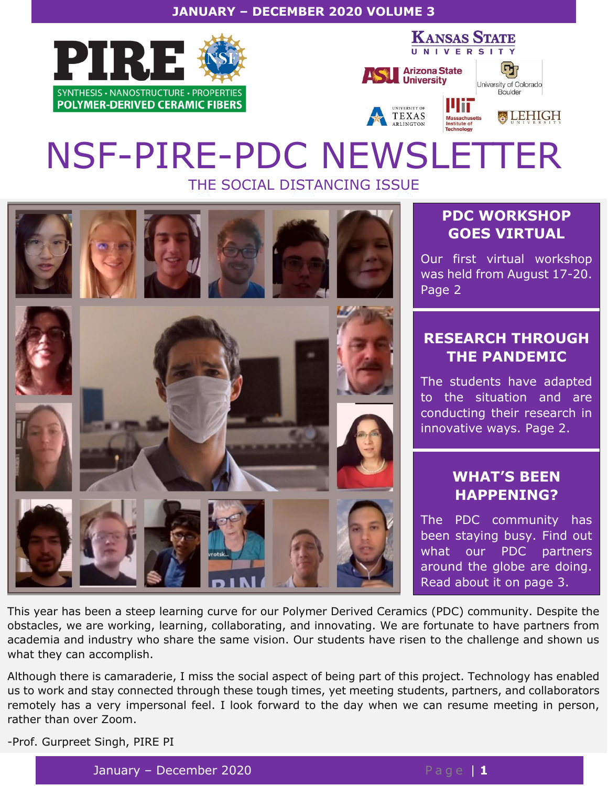#### **JANUARY – DECEMBER 2020 VOLUME 3**











# NSF-PIRE-PDC NEWSLETTER THE SOCIAL DISTANCING ISSUE



# **PDC WORKSHOP GOES VIRTUAL**

Our first virtual workshop was held from August 17-20. Page 2

# **RESEARCH THROUGH THE PANDEMIC**

The students have adapted to the situation and are conducting their research in innovative ways. Page 2.

# **WHAT'S BEEN HAPPENING?**

The PDC community has been staying busy. Find out what our PDC partners around the globe are doing. Read about it on page 3.

This year has been a steep learning curve for our Polymer Derived Ceramics (PDC) community. Despite the obstacles, we are working, learning, collaborating, and innovating. We are fortunate to have partners from academia and industry who share the same vision. Our students have risen to the challenge and shown us what they can accomplish.

Although there is camaraderie, I miss the social aspect of being part of this project. Technology has enabled us to work and stay connected through these tough times, yet meeting students, partners, and collaborators remotely has a very impersonal feel. I look forward to the day when we can resume meeting in person, rather than over Zoom.

-Prof. Gurpreet Singh, PIRE PI

January – December 2020 **Page 11**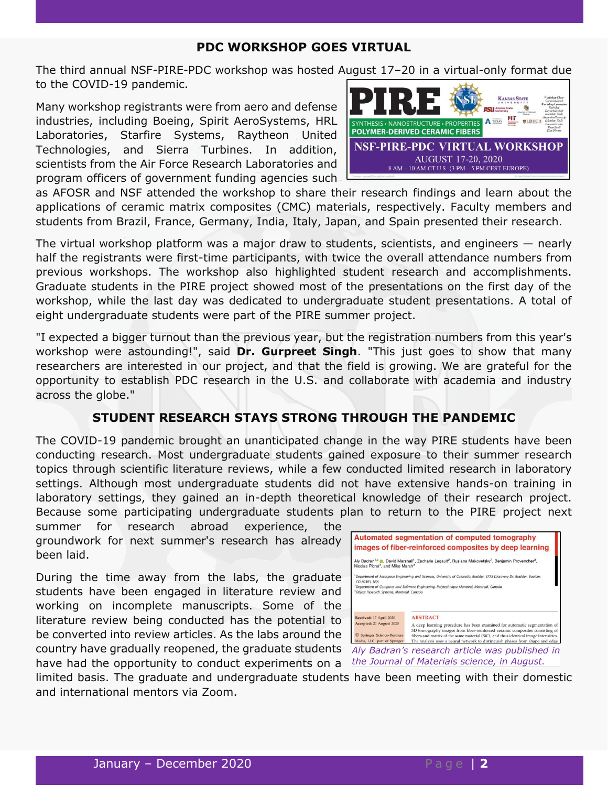#### **PDC WORKSHOP GOES VIRTUAL**

The third annual NSF-PIRE-PDC workshop was hosted August 17–20 in a virtual-only format due to the COVID-19 pandemic.

Many workshop registrants were from aero and defense industries, including Boeing, Spirit AeroSystems, HRL Laboratories, Starfire Systems, Raytheon United Technologies, and Sierra Turbines. In addition, scientists from the Air Force Research Laboratories and program officers of government funding agencies such



as AFOSR and NSF attended the workshop to share their research findings and learn about the applications of ceramic matrix composites (CMC) materials, respectively. Faculty members and students from Brazil, France, Germany, India, Italy, Japan, and Spain presented their research.

The virtual workshop platform was a major draw to students, scientists, and engineers — nearly half the registrants were first-time participants, with twice the overall attendance numbers from previous workshops. The workshop also highlighted student research and accomplishments. Graduate students in the PIRE project showed most of the presentations on the first day of the workshop, while the last day was dedicated to undergraduate student presentations. A total of eight undergraduate students were part of the PIRE summer project.

"I expected a bigger turnout than the previous year, but the registration numbers from this year's workshop were astounding!", said **Dr. Gurpreet Singh**. "This just goes to show that many researchers are interested in our project, and that the field is growing. We are grateful for the opportunity to establish PDC research in the U.S. and collaborate with academia and industry across the globe."

## **STUDENT RESEARCH STAYS STRONG THROUGH THE PANDEMIC**

The COVID-19 pandemic brought an unanticipated change in the way PIRE students have been conducting research. Most undergraduate students gained exposure to their summer research topics through scientific literature reviews, while a few conducted limited research in laboratory settings. Although most undergraduate students did not have extensive hands-on training in laboratory settings, they gained an in-depth theoretical knowledge of their research project. Because some participating undergraduate students plan to return to the PIRE project next

summer for research abroad experience, the groundwork for next summer's research has already been laid.

During the time away from the labs, the graduate students have been engaged in literature review and working on incomplete manuscripts. Some of the literature review being conducted has the potential to be converted into review articles. As the labs around the country have gradually reopened, the graduate students have had the opportunity to conduct experiments on a



limited basis. The graduate and undergraduate students have been meeting with their domestic and international mentors via Zoom.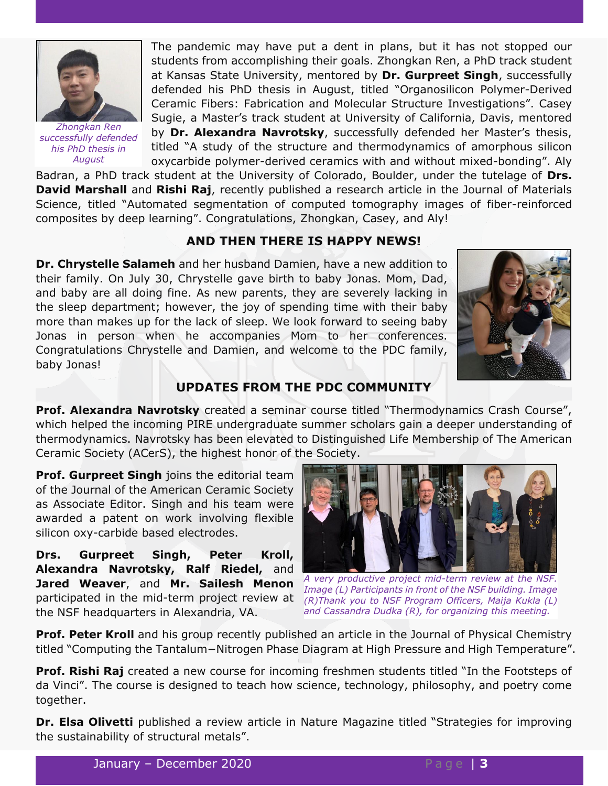

*Zhongkan Ren successfully defended his PhD thesis in August*

The pandemic may have put a dent in plans, but it has not stopped our students from accomplishing their goals. Zhongkan Ren, a PhD track student at Kansas State University, mentored by **Dr. Gurpreet Singh**, successfully defended his PhD thesis in August, titled "Organosilicon Polymer-Derived Ceramic Fibers: Fabrication and Molecular Structure Investigations". Casey Sugie, a Master's track student at University of California, Davis, mentored by **Dr. Alexandra Navrotsky**, successfully defended her Master's thesis, titled "A study of the structure and thermodynamics of amorphous silicon oxycarbide polymer-derived ceramics with and without mixed-bonding". Aly

Badran, a PhD track student at the University of Colorado, Boulder, under the tutelage of **Drs. David Marshall** and **Rishi Raj**, recently published a research article in the Journal of Materials Science, titled "Automated segmentation of computed tomography images of fiber-reinforced composites by deep learning". Congratulations, Zhongkan, Casey, and Aly!

## **AND THEN THERE IS HAPPY NEWS!**

**Dr. Chrystelle Salameh** and her husband Damien, have a new addition to their family. On July 30, Chrystelle gave birth to baby Jonas. Mom, Dad, and baby are all doing fine. As new parents, they are severely lacking in the sleep department; however, the joy of spending time with their baby more than makes up for the lack of sleep. We look forward to seeing baby Jonas in person when he accompanies Mom to her conferences. Congratulations Chrystelle and Damien, and welcome to the PDC family, baby Jonas!



### **UPDATES FROM THE PDC COMMUNITY**

**Prof. Alexandra Navrotsky** created a seminar course titled "Thermodynamics Crash Course", which helped the incoming PIRE undergraduate summer scholars gain a deeper understanding of thermodynamics. Navrotsky has been elevated to Distinguished Life Membership of The American Ceramic Society (ACerS), the highest honor of the Society.

**Prof. Gurpreet Singh** joins the editorial team of the Journal of the American Ceramic Society as Associate Editor. Singh and his team were awarded a patent on work involving flexible silicon oxy-carbide based electrodes.

**Drs. Gurpreet Singh, Peter Kroll, Alexandra Navrotsky, Ralf Riedel,** and **Jared Weaver**, and **Mr. Sailesh Menon** participated in the mid-term project review at (R)Thank you to NSF Program Officers, Maija Kukla (L) the NSF headquarters in Alexandria, VA.



*A very productive project mid-term review at the NSF. Image (L) Participants in front of the NSF building. Image and Cassandra Dudka (R), for organizing this meeting.*

**Prof. Peter Kroll** and his group recently published an article in the Journal of Physical Chemistry titled "Computing the Tantalum−Nitrogen Phase Diagram at High Pressure and High Temperature".

**Prof. Rishi Raj** created a new course for incoming freshmen students titled "In the Footsteps of da Vinci". The course is designed to teach how science, technology, philosophy, and poetry come together.

**Dr. Elsa Olivetti** published a review article in Nature Magazine titled "Strategies for improving the sustainability of structural metals".